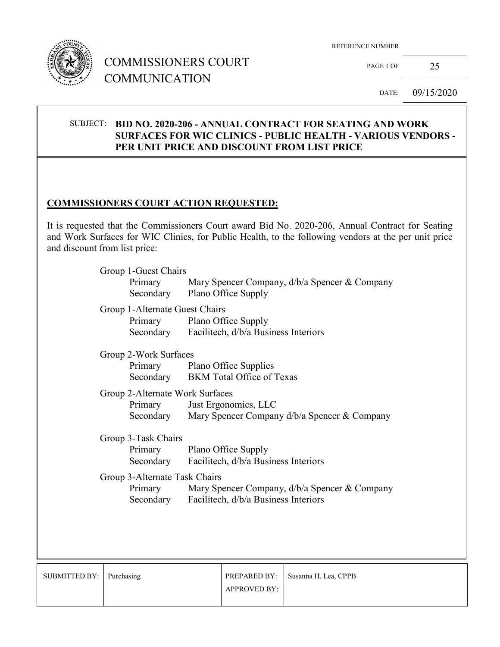

# COMMISSIONERS COURT COMMUNICATION

REFERENCE NUMBER

PAGE 1 OF 25

DATE: 09/15/2020

### SUBJECT: **BID NO. 2020-206 - ANNUAL CONTRACT FOR SEATING AND WORK SURFACES FOR WIC CLINICS - PUBLIC HEALTH - VARIOUS VENDORS - PER UNIT PRICE AND DISCOUNT FROM LIST PRICE**

## **COMMISSIONERS COURT ACTION REQUESTED:**

It is requested that the Commissioners Court award Bid No. 2020-206, Annual Contract for Seating and Work Surfaces for WIC Clinics, for Public Health, to the following vendors at the per unit price and discount from list price:

| Group 1-Guest Chairs                      | Primary Mary Spencer Company, d/b/a Spencer & Company<br>Secondary Plano Office Supply          |  |  |
|-------------------------------------------|-------------------------------------------------------------------------------------------------|--|--|
| Group 1-Alternate Guest Chairs<br>Primary | <b>Plano Office Supply</b><br>Secondary Facilitech, d/b/a Business Interiors                    |  |  |
|                                           | Group 2-Work Surfaces                                                                           |  |  |
|                                           | Primary Plano Office Supplies<br>Secondary BKM Total Office of Texas                            |  |  |
| Group 2-Alternate Work Surfaces           |                                                                                                 |  |  |
|                                           | Primary Just Ergonomics, LLC<br>Secondary Mary Spencer Company d/b/a Spencer & Company          |  |  |
| Group 3-Task Chairs                       |                                                                                                 |  |  |
|                                           | Primary Plano Office Supply                                                                     |  |  |
|                                           | Secondary Facilitech, d/b/a Business Interiors                                                  |  |  |
| Group 3-Alternate Task Chairs             |                                                                                                 |  |  |
| Primary                                   | Mary Spencer Company, d/b/a Spencer & Company<br>Secondary Facilitech, d/b/a Business Interiors |  |  |
|                                           |                                                                                                 |  |  |
|                                           |                                                                                                 |  |  |

| SUBMITTED BY:   Purchasing |                     | PREPARED BY: Susanna H. Lea, CPPB |
|----------------------------|---------------------|-----------------------------------|
|                            | <b>APPROVED BY:</b> |                                   |